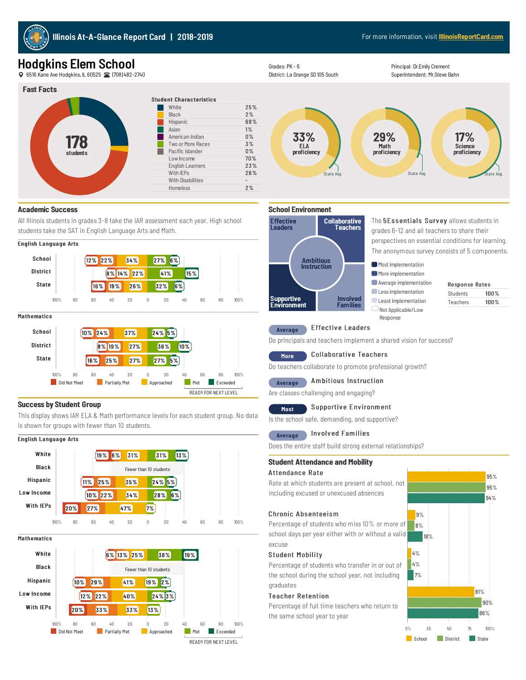

### Hodgkins Elem School

6516KaneAve Hodgkins, IL60525 (708)482-2740



#### Student Characteristics White 25% Black 2% 2% Hispanic 69% Asian **1%** American Indian 0% Two or More Races 3% Pacific Islander 0%<br>
Low Income 70% Low Income 70%<br>English Learners 23% English Learners With  $IFPs$  26% With Disabilities - 2% Homeless



Principal: Dr.Emily Crement Superintendent: Mr.Steve Bahn



#### **Academic Success**

All Illinois students in grades 3-8 take the IAR assessment each year. High school students take the SAT in English Language Arts and Math.



#### 10% 24% 37% 24% 5% 8% 19% 27% 36% 10% 16% 25% 27% 27% 5% School **District** State 100% 80 60 40 20 0 20 40 60 80 100% **Not Meet** Partially Met Approached Met Exceeded READY FOR NEXT LEVEL

#### **Success by Student Group**

This display shows IAR ELA & Math performance levels for each student group. No data is shown for groups with fewer than 10 students.

# English Language Arts



**Mathematics** 





#### Average Effective Leaders

Do principals and teachers implement a shared vision for success?

#### More Collaborative Teachers

Do teachers collaborate to promote professional growth?

### Average Ambitious Instruction

Are classes challenging and engaging?

#### Most Supportive Environment

Is the school safe, demanding, and supportive?

#### Average Involved Families

Does the entire staff build strong external relationships?

#### **Student Attendanceand Mobility**

#### Attendance Rate

Rate at which students are present at school, not including excused or unexcused absences

#### Chronic Absenteeism

Percentage of students who miss 10% or more of school days per year either with or without a valid excuse

#### Student Mobility

Percentage of students who transfer in or out of the school during the school year, not including graduates

#### Teacher Retention

Percentage of full time teachers who return to the same school year to year